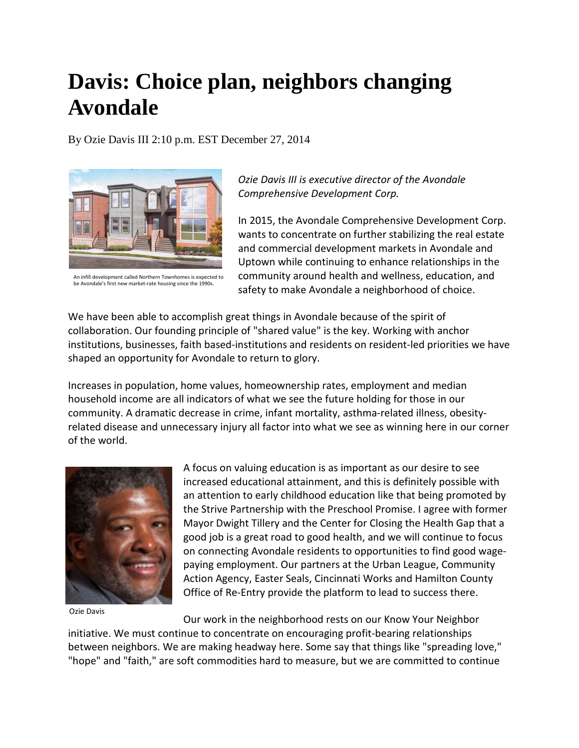## **Davis: Choice plan, neighbors changing Avondale**

By Ozie Davis III 2:10 p.m. EST December 27, 2014



An infill development called Northern Townhomes is expected to be Avondale's first new market-rate housing since the 1990s.

*Ozie Davis III is executive director of the Avondale Comprehensive Development Corp.*

In 2015, the Avondale Comprehensive Development Corp. wants to concentrate on further stabilizing the real estate and commercial development markets in Avondale and Uptown while continuing to enhance relationships in the community around health and wellness, education, and safety to make Avondale a neighborhood of choice.

We have been able to accomplish great things in Avondale because of the spirit of collaboration. Our founding principle of "shared value" is the key. Working with anchor institutions, businesses, faith based-institutions and residents on resident-led priorities we have shaped an opportunity for Avondale to return to glory.

Increases in population, home values, homeownership rates, employment and median household income are all indicators of what we see the future holding for those in our community. A dramatic decrease in crime, infant mortality, asthma-related illness, obesityrelated disease and unnecessary injury all factor into what we see as winning here in our corner of the world.



Ozie Davis

A focus on valuing education is as important as our desire to see increased educational attainment, and this is definitely possible with an attention to early childhood education like that being promoted by the Strive Partnership with the Preschool Promise. I agree with former Mayor Dwight Tillery and the Center for Closing the Health Gap that a good job is a great road to good health, and we will continue to focus on connecting Avondale residents to opportunities to find good wagepaying employment. Our partners at the Urban League, Community Action Agency, Easter Seals, Cincinnati Works and Hamilton County Office of Re-Entry provide the platform to lead to success there.

Our work in the neighborhood rests on our Know Your Neighbor initiative. We must continue to concentrate on encouraging profit-bearing relationships

between neighbors. We are making headway here. Some say that things like "spreading love," "hope" and "faith," are soft commodities hard to measure, but we are committed to continue